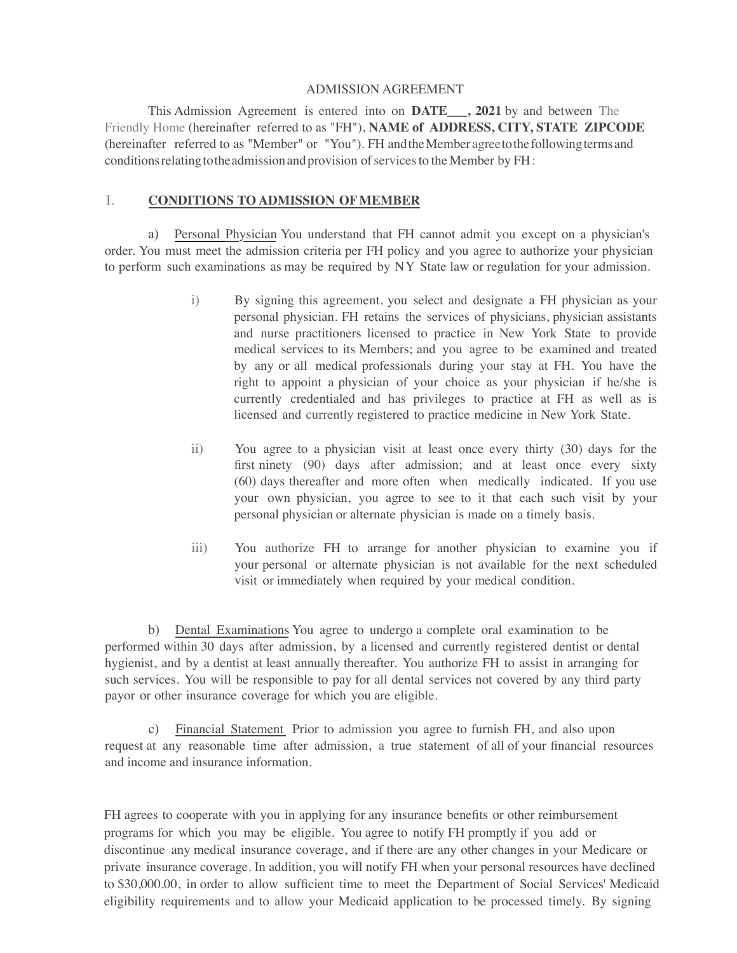#### ADMISSION AGREEMENT

This Admission Agreement is entered into on **DATE\_\_\_, 2021** by and between The Friendly Home (hereinafter referred to as "FH"), **NAME of ADDRESS, CITY, STATE ZIPCODE**  (hereinafter referred to as "Member" or "You"). FH andtheMember agreetothefollowingtermsand conditions relating to the admission and provision of services to the Member by FH:

#### I. **CONDITIONS TO ADMISSION OFMEMBER**

a) Personal Physician You understand that FH cannot admit you except on a physician's order. You must meet the admission criteria per FH policy and you agree to authorize your physician to perform such examinations as may be required by NY State law or regulation for your admission.

- i) By signing this agreement, you select and designate a FH physician as your personal physician. FH retains the services of physicians, physician assistants and nurse practitioners licensed to practice in New York State to provide medical services to its Members; and you agree to be examined and treated by any or all medical professionals during your stay at FH. You have the right to appoint a physician of your choice as your physician if he/she is currently credentialed and has privileges to practice at FH as well as is licensed and currently registered to practice medicine in New York State.
- ii) You agree to a physician visit at least once every thirty (30) days for the first ninety (90) days after admission; and at least once every sixty (60) days thereafter and more often when medically indicated. If you use your own physician, you agree to see to it that each such visit by your personal physician or alternate physician is made on a timely basis.
- iii) You authorize FH to arrange for another physician to examine you if your personal or alternate physician is not available for the next scheduled visit or immediately when required by your medical condition.

b) Dental Examinations You agree to undergo a complete oral examination to be performed within 30 days after admission, by a licensed and currently registered dentist or dental hygienist, and by a dentist at least annually thereafter. You authorize FH to assist in arranging for such services. You will be responsible to pay for all dental services not covered by any third party payor or other insurance coverage for which you are eligible.

c) Financial Statement Prior to admission you agree to furnish FH, and also upon request at any reasonable time after admission, a true statement of all of your financial resources and income and insurance information.

FH agrees to cooperate with you in applying for any insurance benefits or other reimbursement programs for which you may be eligible. You agree to notify FH promptly if you add or discontinue any medical insurance coverage, and if there are any other changes in your Medicare or private insurance coverage. In addition, you will notify FH when your personal resources have declined to \$30,000.00, in order to allow sufficient time to meet the Department of Social Services' Medicaid eligibility requirements and to allow your Medicaid application to be processed timely. By signing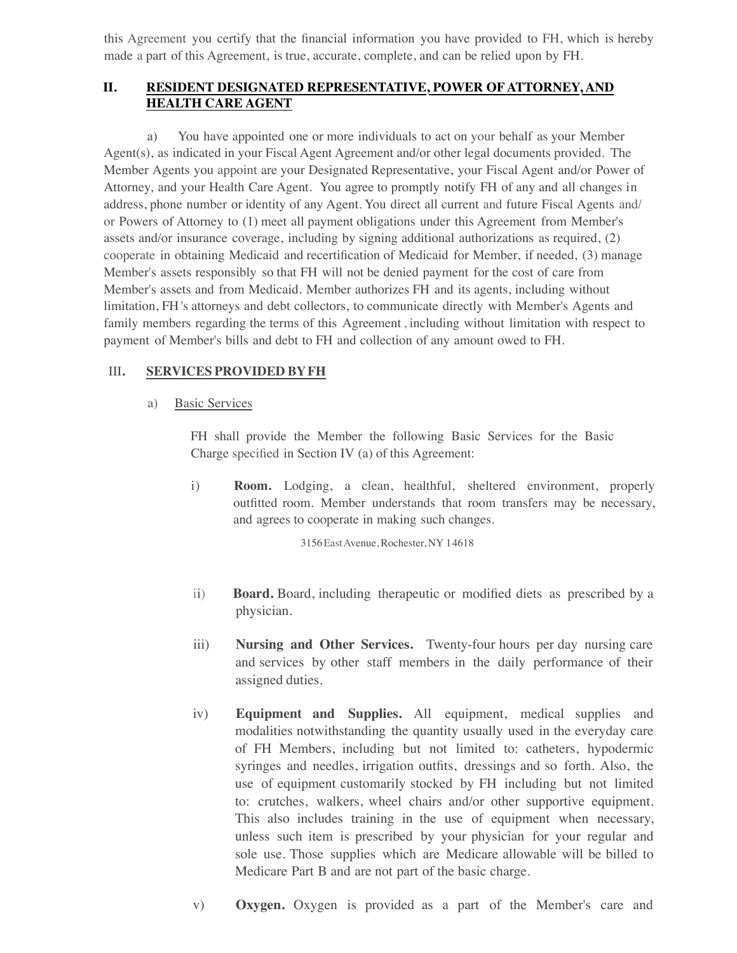this Agreement you certify that the financial information you have provided to FH, which is hereby made a part of this Agreement, is true, accurate, complete, and can be relied upon by FH.

# **II. RESIDENT DESIGNATED REPRESENTATIVE, POWER OF ATTORNEY, AND HEALTH CARE AGENT**

a) You have appointed one or more individuals to act on your behalf as your Member Agent(s), as indicated in your Fiscal Agent Agreement and/or other legal documents provided. The Member Agents you appoint are your Designated Representative, your Fiscal Agent and/or Power of Attorney, and your Health Care Agent. You agree to promptly notify FH of any and all changes in address, phone number or identity of any Agent. You direct all current and future Fiscal Agents and/ or Powers of Attorney to (1) meet all payment obligations under this Agreement from Member's assets and/or insurance coverage, including by signing additional authorizations as required, (2) cooperate in obtaining Medicaid and recertification of Medicaid for Member, if needed, (3) manage Member's assets responsibly so that FH will not be denied payment for the cost of care from Member's assets and from Medicaid. Member authorizes FH and its agents, including without limitation, FH 's attorneys and debt collectors, to communicate directly with Member's Agents and family members regarding the terms of this Agreement , including without limitation with respect to payment of Member's bills and debt to FH and collection of any amount owed to FH.

# III**. SERVICES PROVIDED BYFH**

## a) Basic Services

FH shall provide the Member the following Basic Services for the Basic Charge specified in Section IV (a) of this Agreement:

i) **Room.** Lodging, a clean, healthful, sheltered environment, properly outfitted room. Member understands that room transfers may be necessary, and agrees to cooperate in making such changes.

3156EastAvenue, Rochester, NY 14618

- ii) **Board.** Board, including therapeutic or modified diets as prescribed by a physician.
- iii) **Nursing and Other Services.** Twenty-four hours per day nursing care and services by other staff members in the daily performance of their assigned duties.
- iv) **Equipment and Supplies.** All equipment, medical supplies and modalities notwithstanding the quantity usually used in the everyday care of FH Members, including but not limited to: catheters, hypodermic syringes and needles, irrigation outfits, dressings and so forth. Also, the use of equipment customarily stocked by FH including but not limited to: crutches, walkers, wheel chairs and/or other supportive equipment. This also includes training in the use of equipment when necessary, unless such item is prescribed by your physician for your regular and sole use. Those supplies which are Medicare allowable will be billed to Medicare Part B and are not part of the basic charge.
- v) **Oxygen.** Oxygen is provided as a part of the Member's care and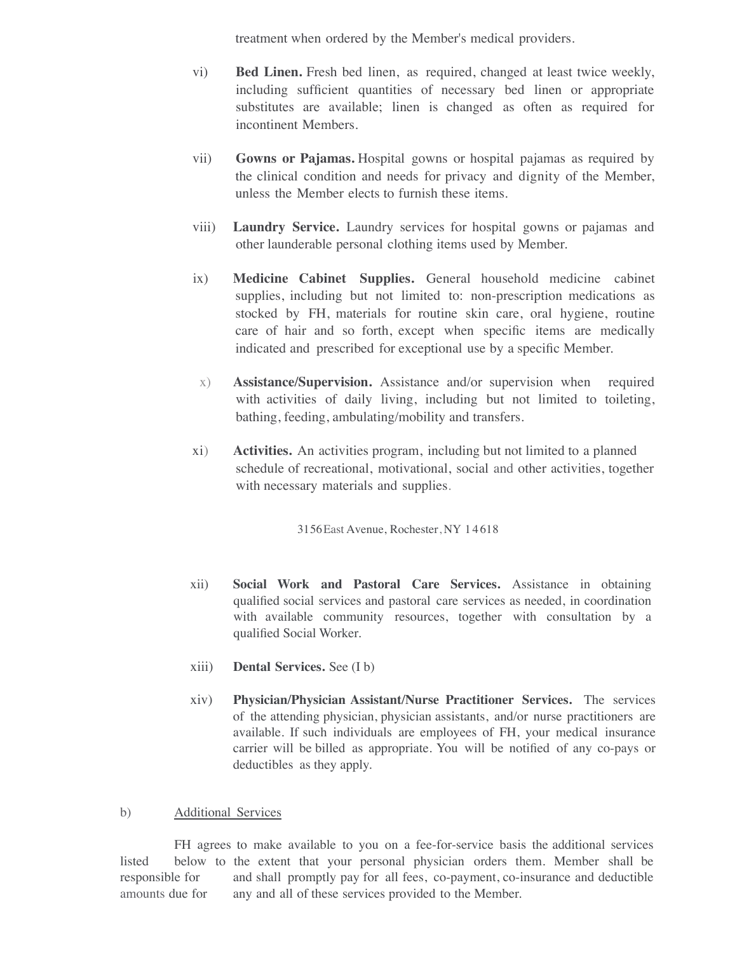treatment when ordered by the Member's medical providers.

- vi) **Bed Linen.** Fresh bed linen, as required, changed at least twice weekly, including sufficient quantities of necessary bed linen or appropriate substitutes are available; linen is changed as often as required for incontinent Members.
- vii) **Gowns or Pajamas.** Hospital gowns or hospital pajamas as required by the clinical condition and needs for privacy and dignity of the Member, unless the Member elects to furnish these items.
- viii) **Laundry Service.** Laundry services for hospital gowns or pajamas and other launderable personal clothing items used by Member.
- ix) **Medicine Cabinet Supplies.** General household medicine cabinet supplies, including but not limited to: non-prescription medications as stocked by FH, materials for routine skin care, oral hygiene, routine care of hair and so forth, except when specific items are medically indicated and prescribed for exceptional use by a specific Member.
- x) **Assistance/Supervision.** Assistance and/or supervision when required with activities of daily living, including but not limited to toileting, bathing, feeding, ambulating/mobility and transfers.
- xi) **Activities.** An activities program, including but not limited to a planned schedule of recreational, motivational, social and other activities, together with necessary materials and supplies.

3156East Avenue, Rochester, NY 1 4 618

- xii) **Social Work and Pastoral Care Services.** Assistance in obtaining qualified social services and pastoral care services as needed, in coordination with available community resources, together with consultation by a qualified Social Worker.
- xiii) **Dental Services.** See (I b)
- xiv) **Physician/Physician Assistant/Nurse Practitioner Services.** The services of the attending physician, physician assistants, and/or nurse practitioners are available. If such individuals are employees of FH, your medical insurance carrier will be billed as appropriate. You will be notified of any co-pays or deductibles as they apply.

## b) Additional Services

FH agrees to make available to you on a fee-for-service basis the additional services listed below to the extent that your personal physician orders them. Member shall be responsible for and shall promptly pay for all fees, co-payment, co-insurance and deductible amounts due for any and all of these services provided to the Member.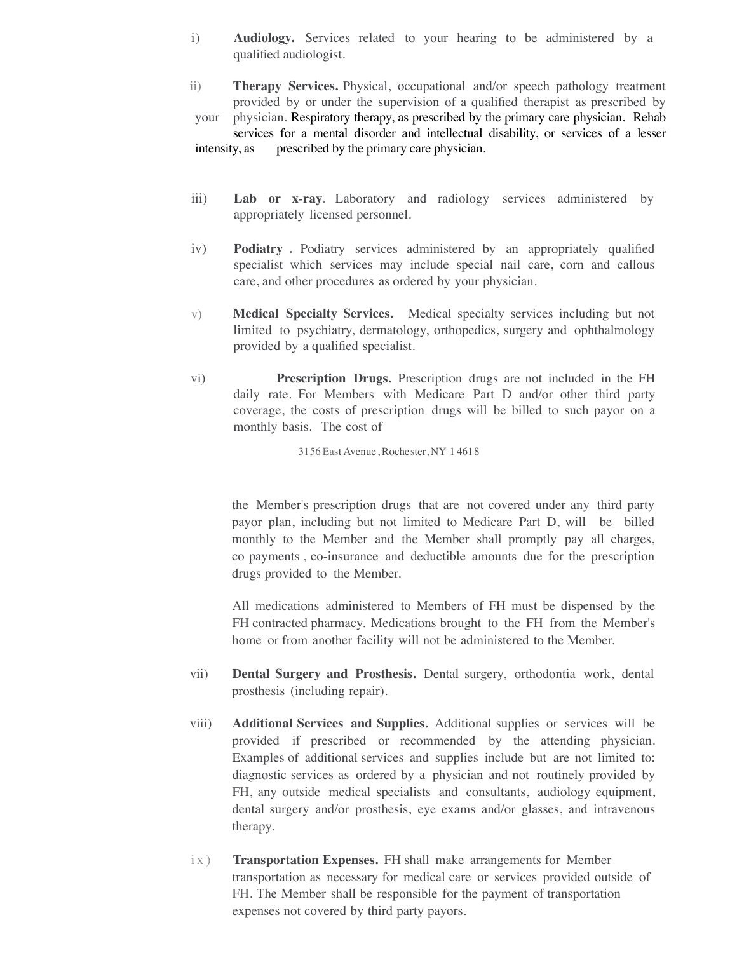- i) **Audiology.** Services related to your hearing to be administered by a qualified audiologist.
- ii) **Therapy Services.** Physical, occupational and/or speech pathology treatment provided by or under the supervision of a qualified therapist as prescribed by your physician. Respiratory therapy, as prescribed by the primary care physician. Rehab services for a mental disorder and intellectual disability, or services of a lesser intensity, as prescribed by the primary care physician.
- iii) **Lab or x-ray.** Laboratory and radiology services administered by appropriately licensed personnel.
- iv) **Podiatry .** Podiatry services administered by an appropriately qualified specialist which services may include special nail care, corn and callous care, and other procedures as ordered by your physician.
- v) **Medical Specialty Services.** Medical specialty services including but not limited to psychiatry, dermatology, orthopedics, surgery and ophthalmology provided by a qualified specialist.
- vi) **Prescription Drugs.** Prescription drugs are not included in the FH daily rate. For Members with Medicare Part D and/or other third party coverage, the costs of prescription drugs will be billed to such payor on a monthly basis. The cost of

3156 East Avenue, Rochester, NY 1 4618

the Member's prescription drugs that are not covered under any third party payor plan, including but not limited to Medicare Part D, will be billed monthly to the Member and the Member shall promptly pay all charges, co payments , co-insurance and deductible amounts due for the prescription drugs provided to the Member.

All medications administered to Members of FH must be dispensed by the FH contracted pharmacy. Medications brought to the FH from the Member's home or from another facility will not be administered to the Member.

- vii) **Dental Surgery and Prosthesis.** Dental surgery, orthodontia work, dental prosthesis (including repair).
- viii) **Additional Services and Supplies.** Additional supplies or services will be provided if prescribed or recommended by the attending physician. Examples of additional services and supplies include but are not limited to: diagnostic services as ordered by a physician and not routinely provided by FH, any outside medical specialists and consultants, audiology equipment, dental surgery and/or prosthesis, eye exams and/or glasses, and intravenous therapy.
- ix) **Transportation Expenses.** FH shall make arrangements for Member transportation as necessary for medical care or services provided outside of FH. The Member shall be responsible for the payment of transportation expenses not covered by third party payors.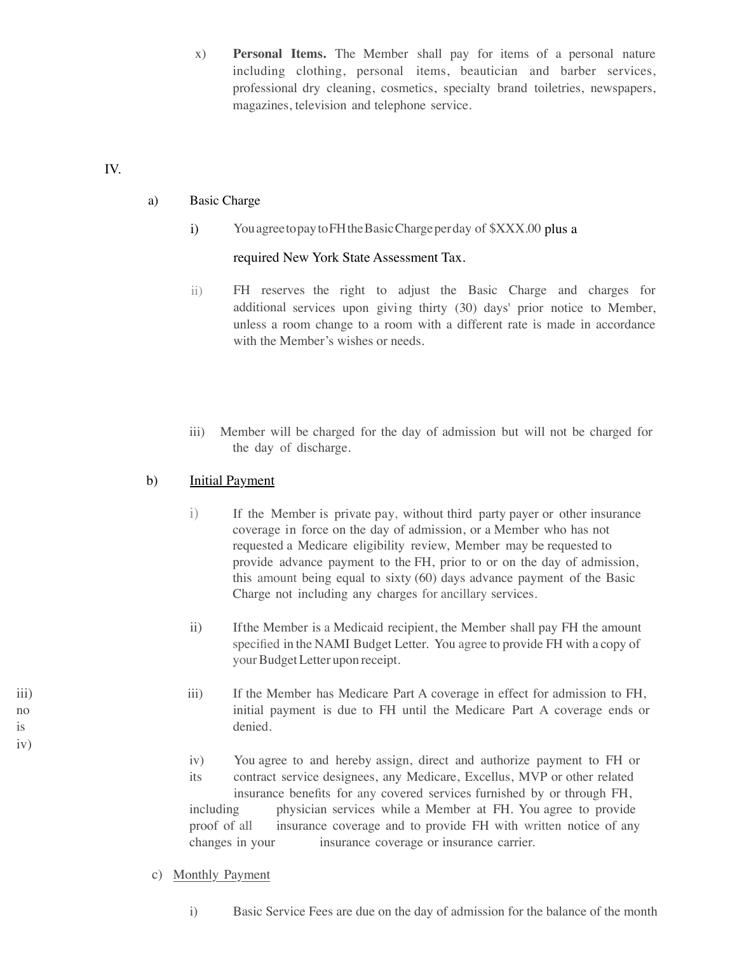x) **Personal Items.** The Member shall pay for items of a personal nature including clothing, personal items, beautician and barber services, professional dry cleaning, cosmetics, specialty brand toiletries, newspapers, magazines, television and telephone service.

### IV.

iv)

### a) Basic Charge

i) You agree to pay to FH the Basic Charge perday of \$XXX.00 plus a

## required New York State Assessment Tax.

- ii) FH reserves the right to adjust the Basic Charge and charges for additional services upon giving thirty (30) days' prior notice to Member, unless a room change to a room with a different rate is made in accordance with the Member's wishes or needs.
- iii) Member will be charged for the day of admission but will not be charged for the day of discharge.

## b) Initial Payment

- i) If the Member is private pay, without third party payer or other insurance coverage in force on the day of admission, or a Member who has not requested a Medicare eligibility review, Member may be requested to provide advance payment to the FH, prior to or on the day of admission, this amount being equal to sixty (60) days advance payment of the Basic Charge not including any charges for ancillary services.
- ii) If the Member is a Medicaid recipient, the Member shall pay FH the amount specified in the NAMI Budget Letter. You agree to provide FH with a copy of your Budget Letter upon receipt.
- iii) If the Member has Medicare Part A coverage in effect for admission to FH, no initial payment is due to FH until the Medicare Part A coverage ends or is denied.
	- iv) You agree to and hereby assign, direct and authorize payment to FH or

its contract service designees, any Medicare, Excellus, MVP or other related insurance benefits for any covered services furnished by or through FH, including physician services while a Member at FH. You agree to provide proof of all insurance coverage and to provide FH with written notice of any changes in your insurance coverage or insurance carrier.

## c) Monthly Payment

i) Basic Service Fees are due on the day of admission for the balance of the month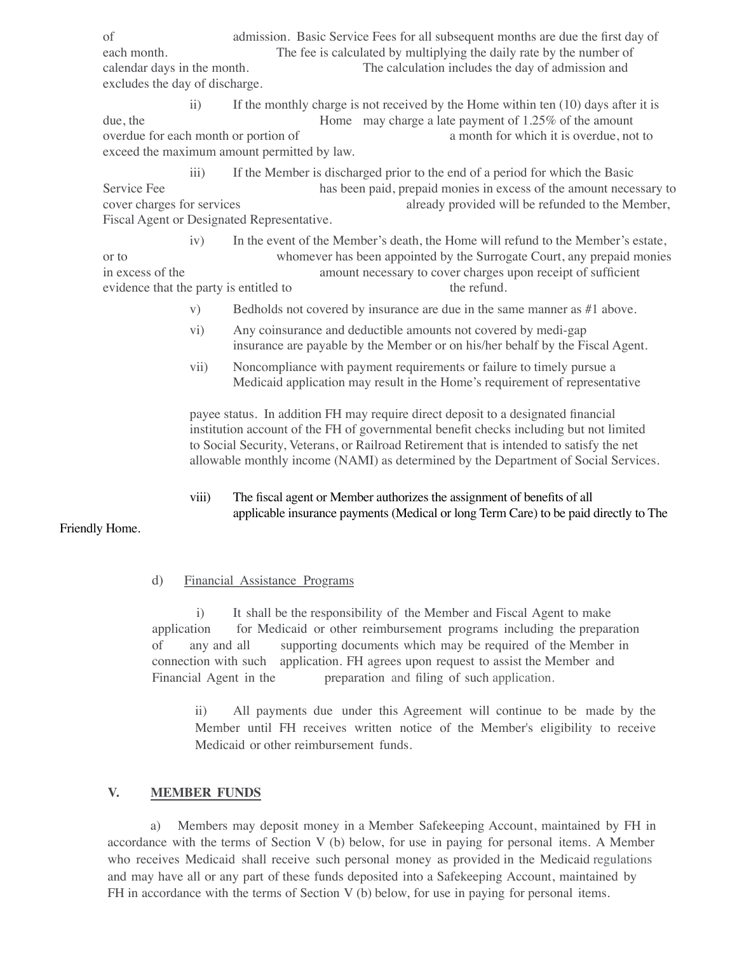of admission. Basic Service Fees for all subsequent months are due the first day of each month. The fee is calculated by multiplying the daily rate by the number of calendar days in the month. The calculation includes the day of admission and excludes the day of discharge.

ii) If the monthly charge is not received by the Home within ten (10) days after it is due, the Home may charge a late payment of 1.25% of the amount overdue for each month or portion of a month for which it is overdue, not to exceed the maximum amount permitted by law.

iii) If the Member is discharged prior to the end of a period for which the Basic Service Fee has been paid, prepaid monies in excess of the amount necessary to cover charges for services already provided will be refunded to the Member, Fiscal Agent or Designated Representative.

iv) In the event of the Member's death, the Home will refund to the Member's estate, or to whomever has been appointed by the Surrogate Court, any prepaid monies in excess of the amount necessary to cover charges upon receipt of sufficient evidence that the party is entitled to the refund.

- v) Bedholds not covered by insurance are due in the same manner as #1 above.
- vi) Any coinsurance and deductible amounts not covered by medi-gap insurance are payable by the Member or on his/her behalf by the Fiscal Agent.
- vii) Noncompliance with payment requirements or failure to timely pursue a Medicaid application may result in the Home's requirement of representative

payee status. In addition FH may require direct deposit to a designated financial institution account of the FH of governmental benefit checks including but not limited to Social Security, Veterans, or Railroad Retirement that is intended to satisfy the net allowable monthly income (NAMI) as determined by the Department of Social Services.

viii) The fiscal agent or Member authorizes the assignment of benefits of all applicable insurance payments (Medical or long Term Care) to be paid directly to The

## Friendly Home.

#### d) Financial Assistance Programs

 i) It shall be the responsibility of the Member and Fiscal Agent to make application for Medicaid or other reimbursement programs including the preparation of any and all supporting documents which may be required of the Member in connection with such application. FH agrees upon request to assist the Member and Financial Agent in the preparation and filing of such application.

ii) All payments due under this Agreement will continue to be made by the Member until FH receives written notice of the Member's eligibility to receive Medicaid or other reimbursement funds.

#### **V. MEMBER FUNDS**

a) Members may deposit money in a Member Safekeeping Account, maintained by FH in accordance with the terms of Section V (b) below, for use in paying for personal items. A Member who receives Medicaid shall receive such personal money as provided in the Medicaid regulations and may have all or any part of these funds deposited into a Safekeeping Account, maintained by FH in accordance with the terms of Section V (b) below, for use in paying for personal items.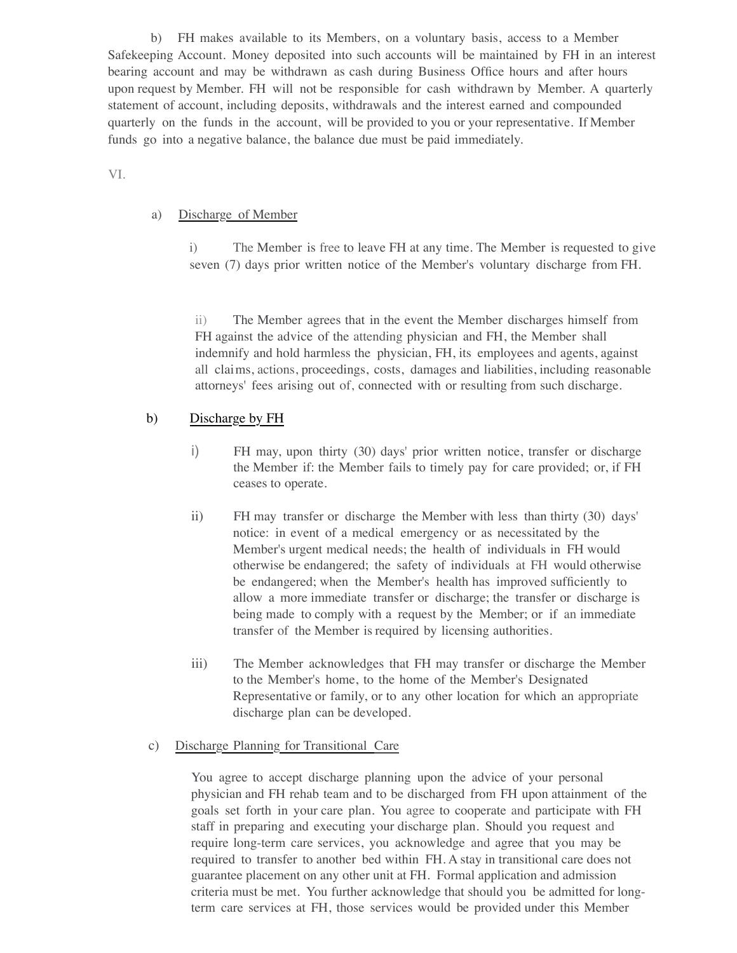b) FH makes available to its Members, on a voluntary basis, access to a Member Safekeeping Account. Money deposited into such accounts will be maintained by FH in an interest bearing account and may be withdrawn as cash during Business Office hours and after hours upon request by Member. FH will not be responsible for cash withdrawn by Member. A quarterly statement of account, including deposits, withdrawals and the interest earned and compounded quarterly on the funds in the account, will be provided to you or your representative. If Member funds go into a negative balance, the balance due must be paid immediately.

### VI.

#### a) Discharge of Member

i) The Member is free to leave FH at any time. The Member is requested to give seven (7) days prior written notice of the Member's voluntary discharge from FH.

ii) The Member agrees that in the event the Member discharges himself from FH against the advice of the attending physician and FH, the Member shall indemnify and hold harmless the physician, FH, its employees and agents, against all claims, actions, proceedings, costs, damages and liabilities, including reasonable attorneys' fees arising out of, connected with or resulting from such discharge.

## b) Discharge by FH

- i) FH may, upon thirty (30) days' prior written notice, transfer or discharge the Member if: the Member fails to timely pay for care provided; or, if FH ceases to operate.
- ii) FH may transfer or discharge the Member with less than thirty (30) days' notice: in event of a medical emergency or as necessitated by the Member's urgent medical needs; the health of individuals in FH would otherwise be endangered; the safety of individuals at FH would otherwise be endangered; when the Member's health has improved sufficiently to allow a more immediate transfer or discharge; the transfer or discharge is being made to comply with a request by the Member; or if an immediate transfer of the Member is required by licensing authorities.
- iii) The Member acknowledges that FH may transfer or discharge the Member to the Member's home, to the home of the Member's Designated Representative or family, or to any other location for which an appropriate discharge plan can be developed.

#### c) Discharge Planning for Transitional Care

You agree to accept discharge planning upon the advice of your personal physician and FH rehab team and to be discharged from FH upon attainment of the goals set forth in your care plan. You agree to cooperate and participate with FH staff in preparing and executing your discharge plan. Should you request and require long-term care services, you acknowledge and agree that you may be required to transfer to another bed within FH. A stay in transitional care does not guarantee placement on any other unit at FH. Formal application and admission criteria must be met. You further acknowledge that should you be admitted for longterm care services at FH, those services would be provided under this Member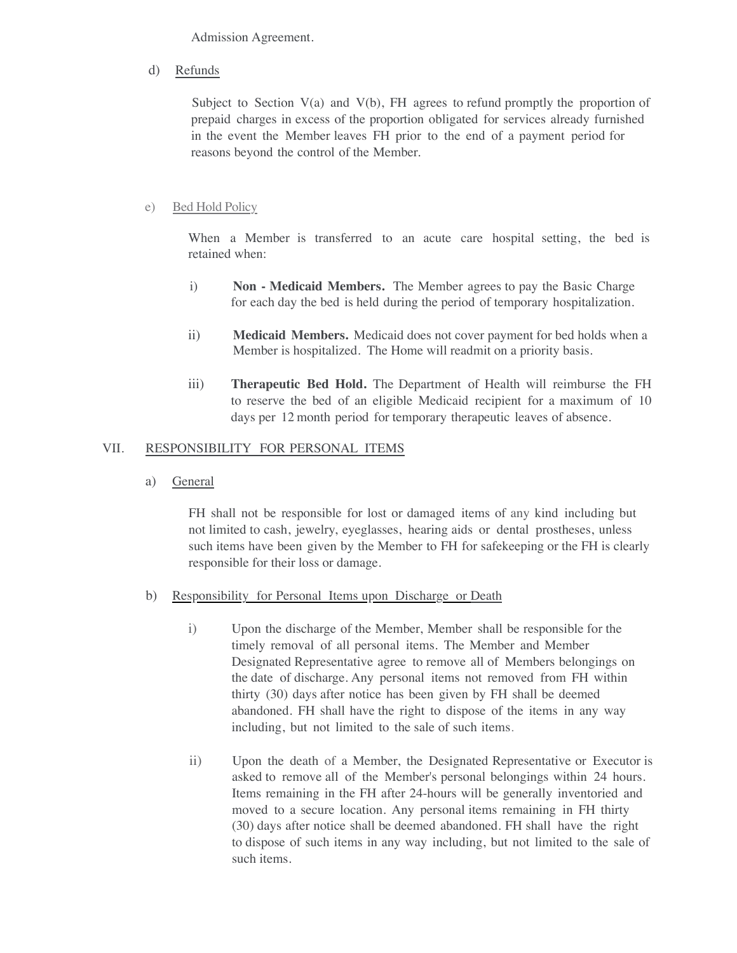Admission Agreement.

d) Refunds

Subject to Section  $V(a)$  and  $V(b)$ , FH agrees to refund promptly the proportion of prepaid charges in excess of the proportion obligated for services already furnished in the event the Member leaves FH prior to the end of a payment period for reasons beyond the control of the Member.

## e) Bed Hold Policy

When a Member is transferred to an acute care hospital setting, the bed is retained when:

- i) **Non - Medicaid Members.** The Member agrees to pay the Basic Charge for each day the bed is held during the period of temporary hospitalization.
- ii) **Medicaid Members.** Medicaid does not cover payment for bed holds when a Member is hospitalized. The Home will readmit on a priority basis.
- iii) **Therapeutic Bed Hold.** The Department of Health will reimburse the FH to reserve the bed of an eligible Medicaid recipient for a maximum of 10 days per 12 month period for temporary therapeutic leaves of absence.

## VII. RESPONSIBILITY FOR PERSONAL ITEMS

a) General

FH shall not be responsible for lost or damaged items of any kind including but not limited to cash, jewelry, eyeglasses, hearing aids or dental prostheses, unless such items have been given by the Member to FH for safekeeping or the FH is clearly responsible for their loss or damage.

- b) Responsibility for Personal Items upon Discharge or Death
	- i) Upon the discharge of the Member, Member shall be responsible for the timely removal of all personal items. The Member and Member Designated Representative agree to remove all of Members belongings on the date of discharge. Any personal items not removed from FH within thirty (30) days after notice has been given by FH shall be deemed abandoned. FH shall have the right to dispose of the items in any way including, but not limited to the sale of such items.
	- ii) Upon the death of a Member, the Designated Representative or Executor is asked to remove all of the Member's personal belongings within 24 hours. Items remaining in the FH after 24-hours will be generally inventoried and moved to a secure location. Any personal items remaining in FH thirty (30) days after notice shall be deemed abandoned. FH shall have the right to dispose of such items in any way including, but not limited to the sale of such items.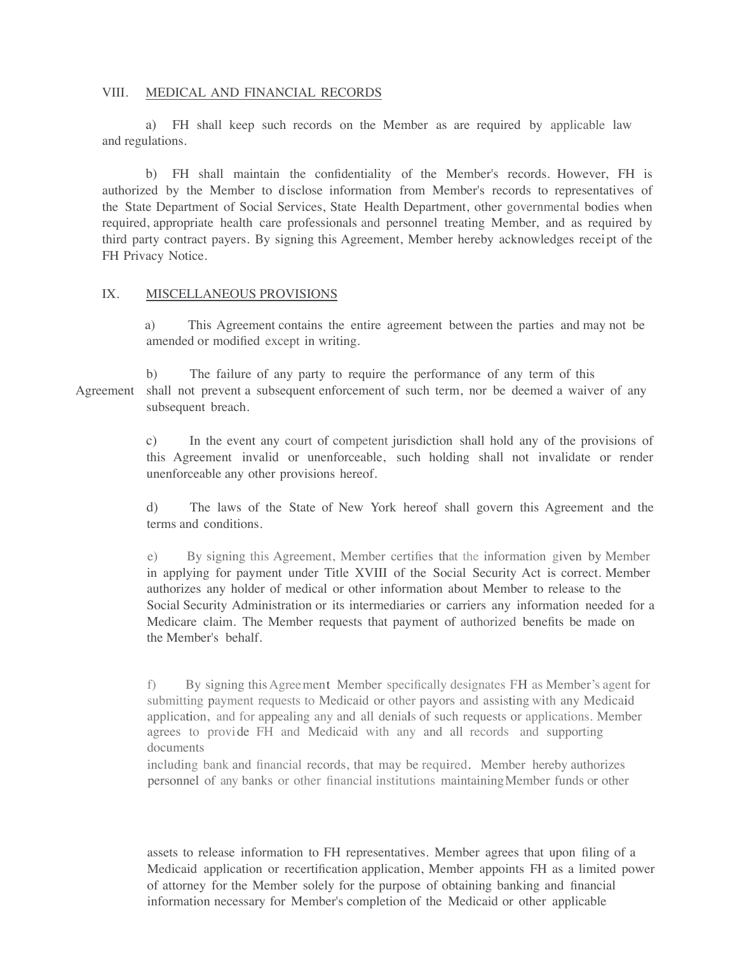#### VIII. MEDICAL AND FINANCIAL RECORDS

a) FH shall keep such records on the Member as are required by applicable law and regulations.

b) FH shall maintain the confidentiality of the Member's records. However, FH is authorized by the Member to disclose information from Member's records to representatives of the State Department of Social Services, State Health Department, other governmental bodies when required, appropriate health care professionals and personnel treating Member, and as required by third party contract payers. By signing this Agreement, Member hereby acknowledges receipt of the FH Privacy Notice.

### IX. MISCELLANEOUS PROVISIONS

 a) This Agreement contains the entire agreement between the parties and may not be amended or modified except in writing.

b) The failure of any party to require the performance of any term of this Agreement shall not prevent a subsequent enforcement of such term, nor be deemed a waiver of any subsequent breach.

> c) In the event any court of competent jurisdiction shall hold any of the provisions of this Agreement invalid or unenforceable, such holding shall not invalidate or render unenforceable any other provisions hereof.

> d) The laws of the State of New York hereof shall govern this Agreement and the terms and conditions.

> e) By signing this Agreement, Member certifies that the information given by Member in applying for payment under Title XVIII of the Social Security Act is correct. Member authorizes any holder of medical or other information about Member to release to the Social Security Administration or its intermediaries or carriers any information needed for a Medicare claim. The Member requests that payment of authorized benefits be made on the Member's behalf.

> f) By signing thisAgreement Member specifically designates FH as Member's agent for submitting payment requests to Medicaid or other payors and assisting with any Medicaid application, and for appealing any and all denials of such requests or applications. Member agrees to provide FH and Medicaid with any and all records and supporting documents

including bank and financial records, that may be required. Member hereby authorizes personnel of any banks or other financial institutions maintainingMember funds or other

assets to release information to FH representatives. Member agrees that upon filing of a Medicaid application or recertification application, Member appoints FH as a limited power of attorney for the Member solely for the purpose of obtaining banking and financial information necessary for Member's completion of the Medicaid or other applicable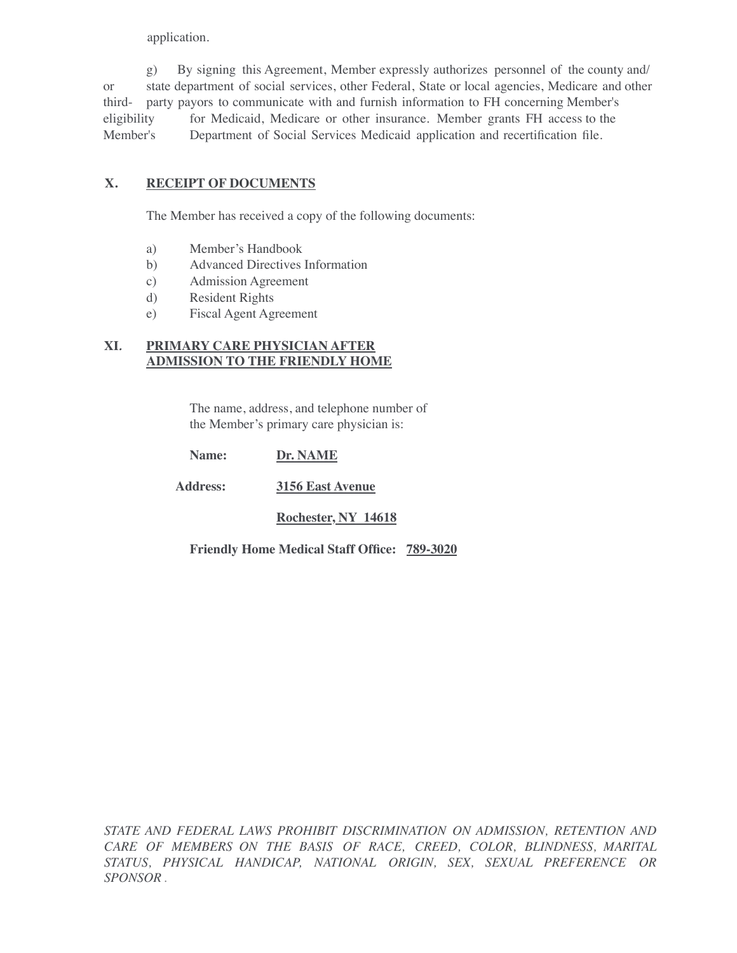application.

g) By signing this Agreement, Member expressly authorizes personnel of the county and/ or state department of social services, other Federal, State or local agencies, Medicare and other third- party payors to communicate with and furnish information to FH concerning Member's eligibility for Medicaid, Medicare or other insurance. Member grants FH access to the Member's Department of Social Services Medicaid application and recertification file.

# **X. RECEIPT OF DOCUMENTS**

The Member has received a copy of the following documents:

- a) Member's Handbook
- b) Advanced Directives Information
- c) Admission Agreement
- d) Resident Rights
- e) Fiscal Agent Agreement

## **XI***.* **PRIMARY CARE PHYSICIAN AFTER ADMISSION TO THE FRIENDLY HOME**

The name, address, and telephone number of the Member's primary care physician is:

**Name: Dr. NAME**

 **Address: 3156 East Avenue**

**Rochester, NY 14618**

**Friendly Home Medical Staff Office: 789-3020**

*STATE AND FEDERAL LAWS PROHIBIT DISCRIMINATION ON ADMISSION, RETENTION AND CARE OF MEMBERS ON THE BASIS OF RACE, CREED, COLOR, BLINDNESS, MARITAL STATUS, PHYSICAL HANDICAP, NATIONAL ORIGIN, SEX, SEXUAL PREFERENCE OR SPONSOR .*